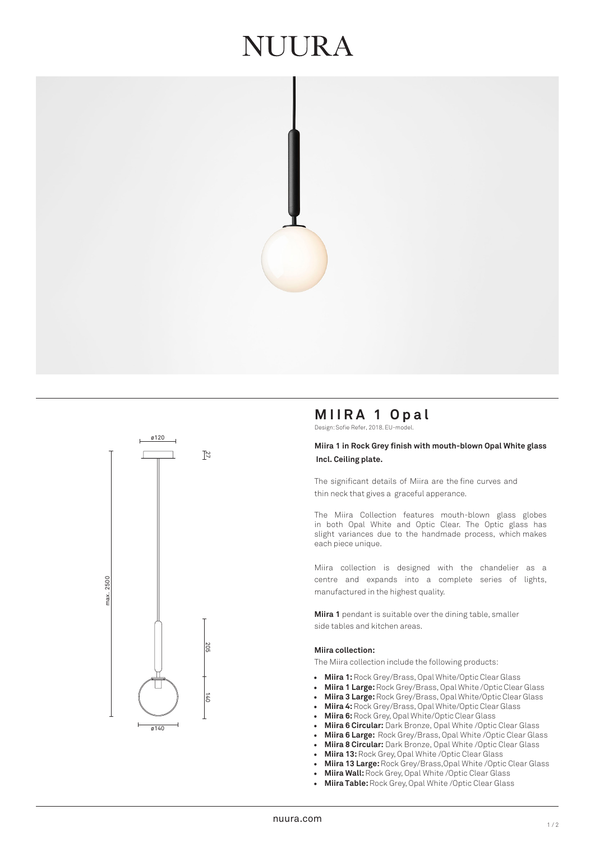## UURA





## **MIIRA 1 Opal**

Design: Sofie Refer, 2018. EU-model.

#### **Miira 1 in Rock Grey finish with mouth-blown Opal White glass Incl. Ceiling plate.**

The significant details of Miira are the fine curves and thin neck that gives a graceful apperance.

The Miira Collection features mouth-blown glass globes in both Opal White and Optic Clear. The Optic glass has slight variances due to the handmade process, which makes each piece unique.

Miira collection is designed with the chandelier as a centre and expands into a complete series of lights, manufactured in the highest quality.

**Miira 1** pendant is suitable over the dining table, smaller side tables and kitchen areas.

#### **Miira collection:**

The Miira collection include the following products:

- **Miira 1:** Rock Grey/Brass, Opal White/Optic Clear Glass
- **Miira 1 Large:** Rock Grey/Brass, Opal White /Optic Clear Glass
- **Miira 3 Large:**Rock Grey/Brass, Opal White/Optic Clear Glass
- **Miira 4:** Rock Grey/Brass, Opal White/Optic Clear Glass
- **Miira 6:**Rock Grey, Opal White/Optic Clear Glass
- **Miira 6 Circular:** Dark Bronze, Opal White /Optic Clear Glass
- **Miira 6 Large:** Rock Grey/Brass, Opal White /Optic Clear Glass
- **Miira 8 Circular:** Dark Bronze, Opal White /Optic Clear Glass
- **Miira 13:** Rock Grey, Opal White /Optic Clear Glass
- **Miira 13 Large:** Rock Grey/Brass,Opal White /Optic Clear Glass
- **Miira Wall:**Rock Grey, Opal White /Optic Clear Glass
- **Miira Table:** Rock Grey, Opal White /Optic Clear Glass